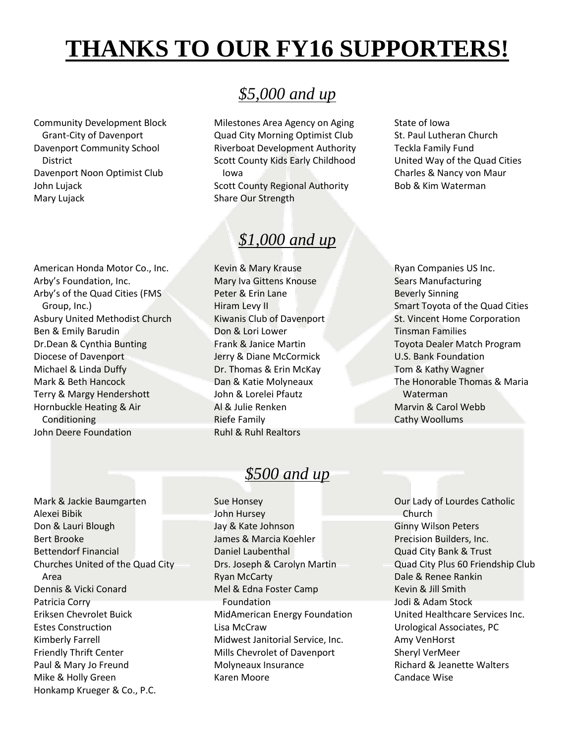# **THANKS TO OUR FY16 SUPPORTERS!**

Community Development Block Grant-City of Davenport Davenport Community School **District** Davenport Noon Optimist Club John Lujack Mary Lujack

American Honda Motor Co., Inc.

Arby's of the Quad Cities (FMS

Asbury United Methodist Church

Arby's Foundation, Inc.

Group, Inc.)

Conditioning John Deere Foundation

Ben & Emily Barudin Dr.Dean & Cynthia Bunting Diocese of Davenport Michael & Linda Duffy Mark & Beth Hancock Terry & Margy Hendershott Hornbuckle Heating & Air

# *\$5,000 and up*

Milestones Area Agency on Aging Quad City Morning Optimist Club Riverboat Development Authority Scott County Kids Early Childhood Iowa Scott County Regional Authority Share Our Strength

# *\$1,000 and up*

Kevin & Mary Krause Mary Iva Gittens Knouse Peter & Erin Lane Hiram Levy II Kiwanis Club of Davenport Don & Lori Lower Frank & Janice Martin Jerry & Diane McCormick Dr. Thomas & Erin McKay Dan & Katie Molyneaux John & Lorelei Pfautz Al & Julie Renken Riefe Family Ruhl & Ruhl Realtors

State of Iowa St. Paul Lutheran Church Teckla Family Fund United Way of the Quad Cities Charles & Nancy von Maur Bob & Kim Waterman

Ryan Companies US Inc. Sears Manufacturing Beverly Sinning Smart Toyota of the Quad Cities St. Vincent Home Corporation Tinsman Families Toyota Dealer Match Program U.S. Bank Foundation Tom & Kathy Wagner The Honorable Thomas & Maria Waterman Marvin & Carol Webb Cathy Woollums

Mark & Jackie Baumgarten Alexei Bibik Don & Lauri Blough Bert Brooke Bettendorf Financial Churches United of the Quad City Area Dennis & Vicki Conard Patricia Corry Eriksen Chevrolet Buick Estes Construction Kimberly Farrell Friendly Thrift Center Paul & Mary Jo Freund Mike & Holly Green Honkamp Krueger & Co., P.C.

## *\$500 and up*

Sue Honsey John Hursey Jay & Kate Johnson James & Marcia Koehler Daniel Laubenthal Drs. Joseph & Carolyn Martin Ryan McCarty Mel & Edna Foster Camp Foundation MidAmerican Energy Foundation Lisa McCraw Midwest Janitorial Service, Inc. Mills Chevrolet of Davenport Molyneaux Insurance Karen Moore

Our Lady of Lourdes Catholic Church Ginny Wilson Peters Precision Builders, Inc. Quad City Bank & Trust Quad City Plus 60 Friendship Club Dale & Renee Rankin Kevin & Jill Smith Jodi & Adam Stock United Healthcare Services Inc. Urological Associates, PC Amy VenHorst Sheryl VerMeer Richard & Jeanette Walters Candace Wise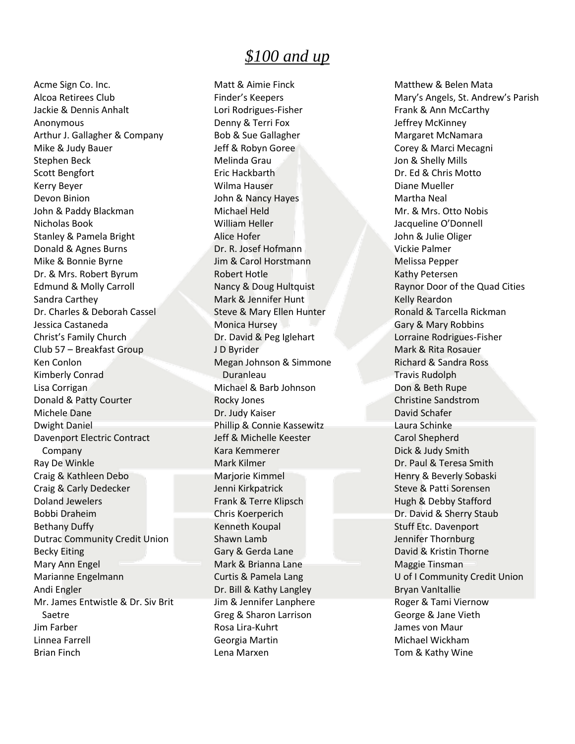#### *\$100 and up*

Acme Sign Co. Inc. Alcoa Retirees Club Jackie & Dennis Anhalt Anonymous Arthur J. Gallagher & Company Mike & Judy Bauer Stephen Beck Scott Bengfort Kerry Beyer Devon Binion John & Paddy Blackman Nicholas Book Stanley & Pamela Bright Donald & Agnes Burns Mike & Bonnie Byrne Dr. & Mrs. Robert Byrum Edmund & Molly Carroll Sandra Carthey Dr. Charles & Deborah Cassel Jessica Castaneda Christ's Family Church Club 57 – Breakfast Group Ken Conlon Kimberly Conrad Lisa Corrigan Donald & Patty Courter Michele Dane Dwight Daniel Davenport Electric Contract Company Ray De Winkle Craig & Kathleen Debo Craig & Carly Dedecker Doland Jewelers Bobbi Draheim Bethany Duffy Dutrac Community Credit Union Becky Eiting Mary Ann Engel Marianne Engelmann Andi Engler Mr. James Entwistle & Dr. Siv Brit Saetre Jim Farber Linnea Farrell Brian Finch

Matt & Aimie Finck Finder's Keepers Lori Rodrigues-Fisher Denny & Terri Fox Bob & Sue Gallagher Jeff & Robyn Goree Melinda Grau Eric Hackbarth Wilma Hauser John & Nancy Hayes Michael Held William Heller Alice Hofer Dr. R. Josef Hofmann Jim & Carol Horstmann Robert Hotle Nancy & Doug Hultquist Mark & Jennifer Hunt Steve & Mary Ellen Hunter Monica Hursey Dr. David & Peg Iglehart J D Byrider Megan Johnson & Simmone Duranleau Michael & Barb Johnson Rocky Jones Dr. Judy Kaiser Phillip & Connie Kassewitz Jeff & Michelle Keester Kara Kemmerer Mark Kilmer Marjorie Kimmel Jenni Kirkpatrick Frank & Terre Klipsch Chris Koerperich Kenneth Koupal Shawn Lamb Gary & Gerda Lane Mark & Brianna Lane Curtis & Pamela Lang Dr. Bill & Kathy Langley Jim & Jennifer Lanphere Greg & Sharon Larrison Rosa Lira-Kuhrt Georgia Martin Lena Marxen

Matthew & Belen Mata Mary's Angels, St. Andrew's Parish Frank & Ann McCarthy Jeffrey McKinney Margaret McNamara Corey & Marci Mecagni Jon & Shelly Mills Dr. Ed & Chris Motto Diane Mueller Martha Neal Mr. & Mrs. Otto Nobis Jacqueline O'Donnell John & Julie Oliger Vickie Palmer Melissa Pepper Kathy Petersen Raynor Door of the Quad Cities Kelly Reardon Ronald & Tarcella Rickman Gary & Mary Robbins Lorraine Rodrigues-Fisher Mark & Rita Rosauer Richard & Sandra Ross Travis Rudolph Don & Beth Rupe Christine Sandstrom David Schafer Laura Schinke Carol Shepherd Dick & Judy Smith Dr. Paul & Teresa Smith Henry & Beverly Sobaski Steve & Patti Sorensen Hugh & Debby Stafford Dr. David & Sherry Staub Stuff Etc. Davenport Jennifer Thornburg David & Kristin Thorne Maggie Tinsman U of I Community Credit Union Bryan VanItallie Roger & Tami Viernow George & Jane Vieth James von Maur Michael Wickham Tom & Kathy Wine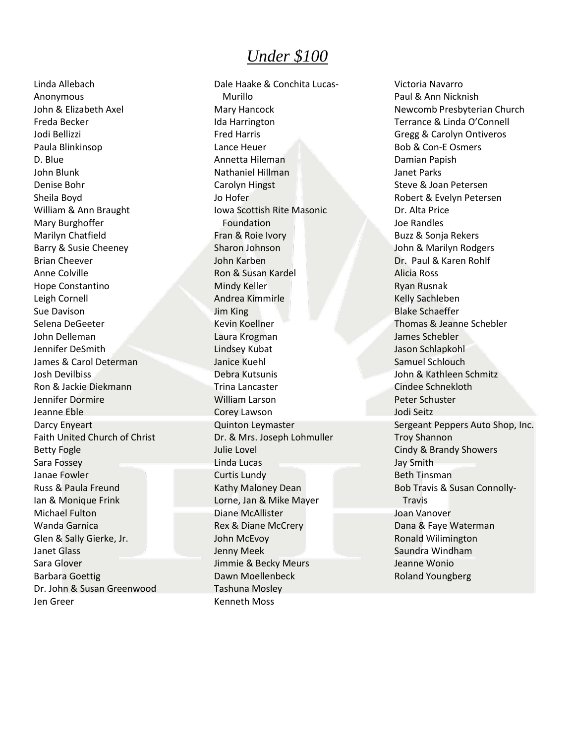#### *Under \$100*

Linda Allebach Anonymous John & Elizabeth Axel Freda Becker Jodi Bellizzi Paula Blinkinsop D. Blue John Blunk Denise Bohr Sheila Boyd William & Ann Braught Mary Burghoffer Marilyn Chatfield Barry & Susie Cheeney Brian Cheever Anne Colville Hope Constantino Leigh Cornell Sue Davison Selena DeGeeter John Delleman Jennifer DeSmith James & Carol Determan Josh Devilbiss Ron & Jackie Diekmann Jennifer Dormire Jeanne Eble Darcy Enyeart Faith United Church of Christ Betty Fogle Sara Fossey Janae Fowler Russ & Paula Freund Ian & Monique Frink Michael Fulton Wanda Garnica Glen & Sally Gierke, Jr. Janet Glass Sara Glover Barbara Goettig Dr. John & Susan Greenwood Jen Greer

Dale Haake & Conchita Lucas-Murillo Mary Hancock Ida Harrington Fred Harris Lance Heuer Annetta Hileman Nathaniel Hillman Carolyn Hingst Jo Hofer Iowa Scottish Rite Masonic Foundation Fran & Roie Ivory Sharon Johnson John Karben Ron & Susan Kardel Mindy Keller Andrea Kimmirle Jim King Kevin Koellner Laura Krogman Lindsey Kubat Janice Kuehl Debra Kutsunis Trina Lancaster William Larson Corey Lawson Quinton Leymaster Dr. & Mrs. Joseph Lohmuller Julie Lovel Linda Lucas Curtis Lundy Kathy Maloney Dean Lorne, Jan & Mike Mayer Diane McAllister Rex & Diane McCrery John McEvoy Jenny Meek Jimmie & Becky Meurs Dawn Moellenbeck Tashuna Mosley Kenneth Moss

Victoria Navarro Paul & Ann Nicknish Newcomb Presbyterian Church Terrance & Linda O'Connell Gregg & Carolyn Ontiveros Bob & Con-E Osmers Damian Papish Janet Parks Steve & Joan Petersen Robert & Evelyn Petersen Dr. Alta Price Joe Randles Buzz & Sonja Rekers John & Marilyn Rodgers Dr. Paul & Karen Rohlf Alicia Ross Ryan Rusnak Kelly Sachleben Blake Schaeffer Thomas & Jeanne Schebler James Schebler Jason Schlapkohl Samuel Schlouch John & Kathleen Schmitz Cindee Schnekloth Peter Schuster Jodi Seitz Sergeant Peppers Auto Shop, Inc. Troy Shannon Cindy & Brandy Showers Jay Smith Beth Tinsman Bob Travis & Susan Connolly-Travis Joan Vanover Dana & Faye Waterman Ronald Wilimington Saundra Windham Jeanne Wonio Roland Youngberg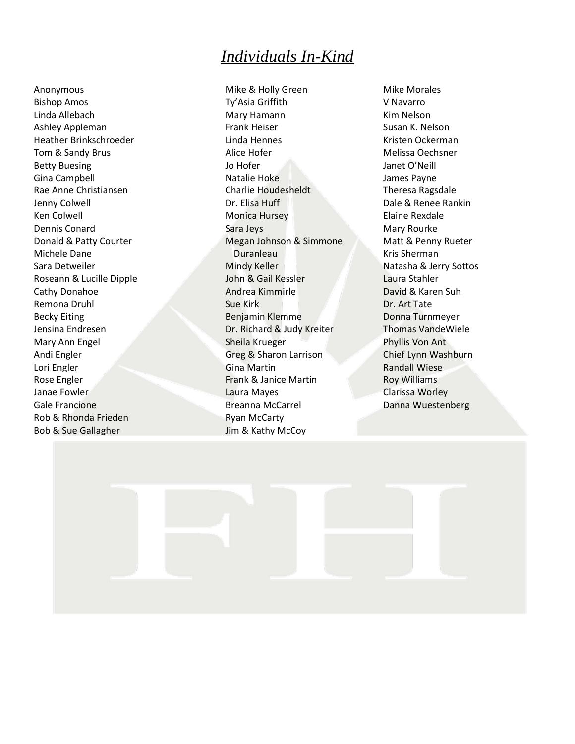## *Individuals In-Kind*

Anonymous Bishop Amos Linda Allebach Ashley Appleman Heather Brinkschroeder Tom & Sandy Brus Betty Buesing Gina Campbell Rae Anne Christiansen Jenny Colwell Ken Colwell Dennis Conard Donald & Patty Courter Michele Dane Sara Detweiler Roseann & Lucille Dipple Cathy Donahoe Remona Druhl Becky Eiting Jensina Endresen Mary Ann Engel Andi Engler Lori Engler Rose Engler Janae Fowler Gale Francione Rob & Rhonda Frieden Bob & Sue Gallagher

Mike & Holly Green Ty'Asia Griffith Mary Hamann Frank Heiser Linda Hennes Alice Hofer Jo Hofer Natalie Hoke Charlie Houdesheldt Dr. Elisa Huff Monica Hursey Sara Jeys Megan Johnson & Simmone Duranleau Mindy Keller John & Gail Kessler Andrea Kimmirle Sue Kirk Benjamin Klemme Dr. Richard & Judy Kreiter Sheila Krueger Greg & Sharon Larrison Gina Martin Frank & Janice Martin Laura Mayes Breanna McCarrel Ryan McCarty Jim & Kathy McCoy

Mike Morales V Navarro Kim Nelson Susan K. Nelson Kristen Ockerman Melissa Oechsner Janet O'Neill James Payne Theresa Ragsdale Dale & Renee Rankin Elaine Rexdale Mary Rourke Matt & Penny Rueter Kris Sherman Natasha & Jerry Sottos Laura Stahler David & Karen Suh Dr. Art Tate Donna Turnmeyer Thomas VandeWiele Phyllis Von Ant Chief Lynn Washburn Randall Wiese Roy Williams Clarissa Worley Danna Wuestenberg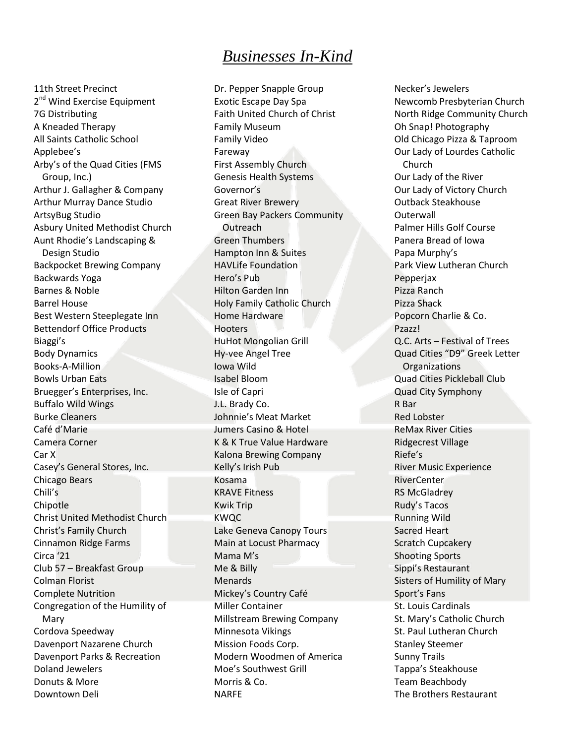### *Businesses In-Kind*

11th Street Precinct 2<sup>nd</sup> Wind Exercise Equipment 7G Distributing A Kneaded Therapy All Saints Catholic School Applebee's Arby's of the Quad Cities (FMS Group, Inc.) Arthur J. Gallagher & Company Arthur Murray Dance Studio ArtsyBug Studio Asbury United Methodist Church Aunt Rhodie's Landscaping & Design Studio Backpocket Brewing Company Backwards Yoga Barnes & Noble Barrel House Best Western Steeplegate Inn Bettendorf Office Products Biaggi's Body Dynamics Books-A-Million Bowls Urban Eats Bruegger's Enterprises, Inc. Buffalo Wild Wings Burke Cleaners Café d'Marie Camera Corner Car X Casey's General Stores, Inc. Chicago Bears Chili's Chipotle Christ United Methodist Church Christ's Family Church Cinnamon Ridge Farms Circa '21 Club 57 – Breakfast Group Colman Florist Complete Nutrition Congregation of the Humility of Mary Cordova Speedway Davenport Nazarene Church Davenport Parks & Recreation Doland Jewelers Donuts & More Downtown Deli

Dr. Pepper Snapple Group Exotic Escape Day Spa Faith United Church of Christ Family Museum Family Video Fareway First Assembly Church Genesis Health Systems Governor's Great River Brewery Green Bay Packers Community **Outreach** Green Thumbers Hampton Inn & Suites HAVLife Foundation Hero's Pub Hilton Garden Inn Holy Family Catholic Church Home Hardware **Hooters** HuHot Mongolian Grill Hy-vee Angel Tree Iowa Wild Isabel Bloom Isle of Capri J.L. Brady Co. Johnnie's Meat Market Jumers Casino & Hotel K & K True Value Hardware Kalona Brewing Company Kelly's Irish Pub Kosama KRAVE Fitness Kwik Trip KWQC Lake Geneva Canopy Tours Main at Locust Pharmacy Mama M's Me & Billy Menards Mickey's Country Café Miller Container Millstream Brewing Company Minnesota Vikings Mission Foods Corp. Modern Woodmen of America Moe's Southwest Grill Morris & Co. NARFE

Necker's Jewelers Newcomb Presbyterian Church North Ridge Community Church Oh Snap! Photography Old Chicago Pizza & Taproom Our Lady of Lourdes Catholic Church Our Lady of the River Our Lady of Victory Church Outback Steakhouse **Outerwall** Palmer Hills Golf Course Panera Bread of Iowa Papa Murphy's Park View Lutheran Church Pepperjax Pizza Ranch Pizza Shack Popcorn Charlie & Co. Pzazz! Q.C. Arts – Festival of Trees Quad Cities "D9" Greek Letter **Organizations** Quad Cities Pickleball Club Quad City Symphony R Bar Red Lobster ReMax River Cities Ridgecrest Village Riefe's River Music Experience RiverCenter RS McGladrey Rudy's Tacos Running Wild Sacred Heart Scratch Cupcakery Shooting Sports Sippi's Restaurant Sisters of Humility of Mary Sport's Fans St. Louis Cardinals St. Mary's Catholic Church St. Paul Lutheran Church Stanley Steemer Sunny Trails Tappa's Steakhouse Team Beachbody The Brothers Restaurant